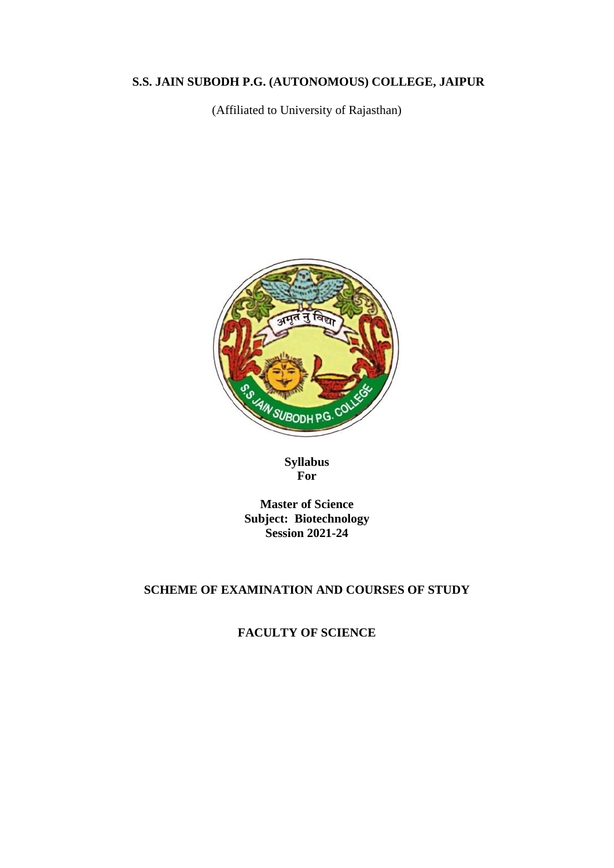# **S.S. JAIN SUBODH P.G. (AUTONOMOUS) COLLEGE, JAIPUR**

(Affiliated to University of Rajasthan)



**Syllabus For**

**Master of Science Subject: Biotechnology Session 2021-24**

#### **SCHEME OF EXAMINATION AND COURSES OF STUDY**

**FACULTY OF SCIENCE**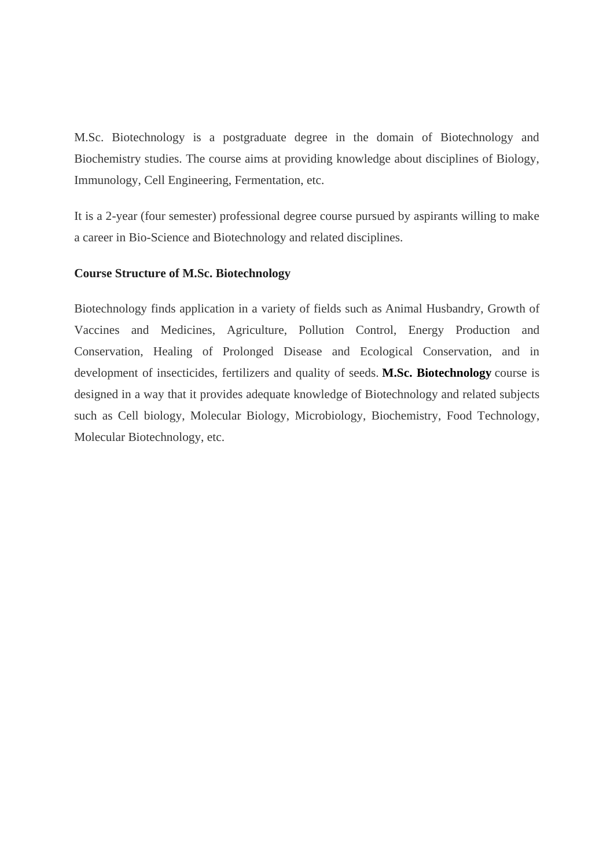M.Sc. Biotechnology is a postgraduate degree in the domain of Biotechnology and Biochemistry studies. The course aims at providing knowledge about disciplines of Biology, Immunology, Cell Engineering, Fermentation, etc.

It is a 2-year (four semester) professional degree course pursued by aspirants willing to make a career in Bio-Science and Biotechnology and related disciplines.

#### **Course Structure of M.Sc. Biotechnology**

Biotechnology finds application in a variety of fields such as Animal Husbandry, Growth of Vaccines and Medicines, Agriculture, Pollution Control, Energy Production and Conservation, Healing of Prolonged Disease and Ecological Conservation, and in development of insecticides, fertilizers and quality of seeds. **[M.Sc. Biotechnology](https://collegedunia.com/courses/master-of-science-msc-biotechnology)** course is designed in a way that it provides adequate knowledge of Biotechnology and related subjects such as Cell biology, Molecular Biology, Microbiology, Biochemistry, Food Technology, Molecular Biotechnology, etc.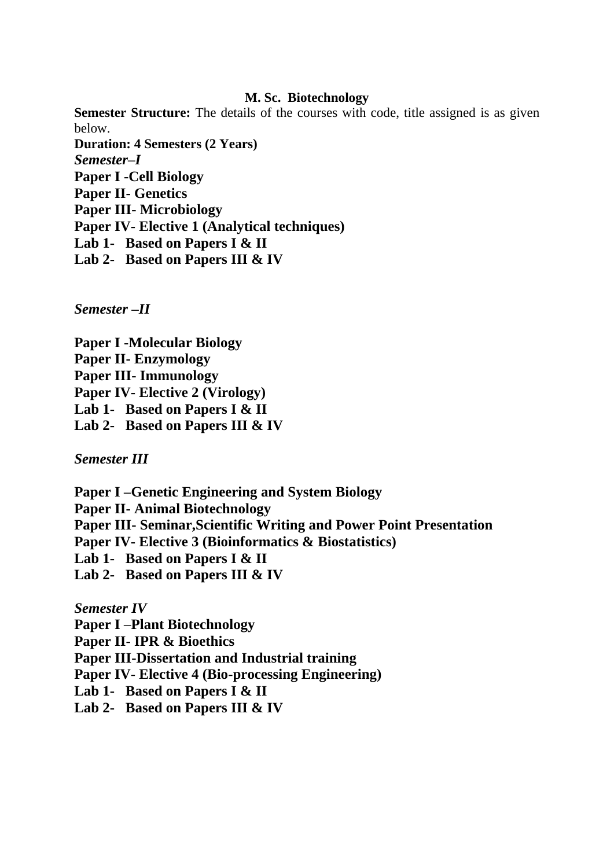#### **M. Sc. Biotechnology**

**Semester Structure:** The details of the courses with code, title assigned is as given below. **Duration: 4 Semesters (2 Years)** *Semester–I* **Paper I -Cell Biology Paper II- Genetics Paper III- Microbiology Paper IV- Elective 1 (Analytical techniques) Lab 1- Based on Papers I & II Lab 2- Based on Papers III & IV**

*Semester –II*

**Paper I -Molecular Biology Paper II- Enzymology Paper III- Immunology Paper IV- Elective 2 (Virology) Lab 1- Based on Papers I & II Lab 2- Based on Papers III & IV**

*Semester III*

**Paper I –Genetic Engineering and System Biology**

**Paper II- Animal Biotechnology**

**Paper III- Seminar,Scientific Writing and Power Point Presentation** 

**Paper IV- Elective 3 (Bioinformatics & Biostatistics)**

**Lab 1- Based on Papers I & II**

**Lab 2- Based on Papers III & IV**

*Semester IV*

**Paper I –Plant Biotechnology**

**Paper II- IPR & Bioethics**

**Paper III-Dissertation and Industrial training**

**Paper IV- Elective 4 (Bio-processing Engineering)**

**Lab 1- Based on Papers I & II**

**Lab 2- Based on Papers III & IV**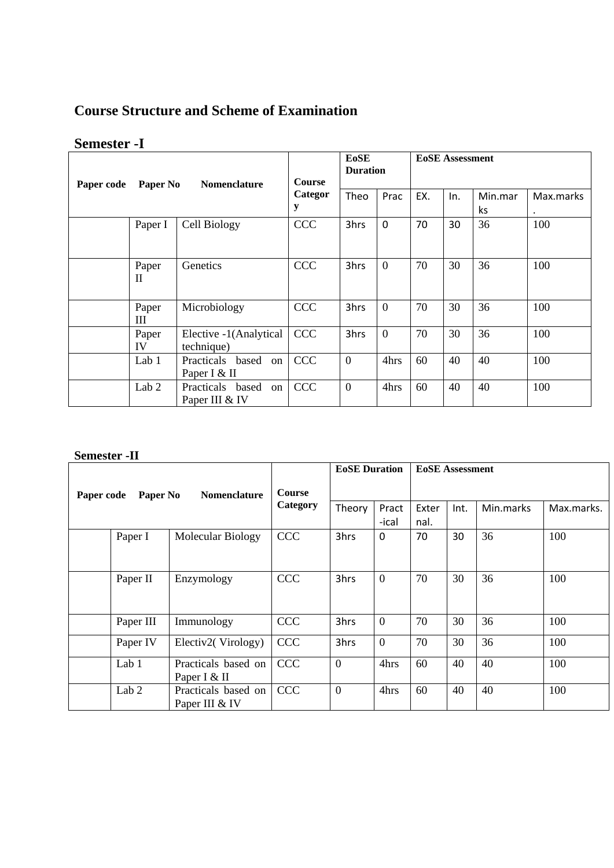# **Course Structure and Scheme of Examination**

# **Semester -I**

| Paper code | Paper No         | Nomenclature                             | <b>Course</b> | <b>E</b> oSE<br><b>EoSE</b> Assessment<br><b>Duration</b> |             |     |     |                |           |
|------------|------------------|------------------------------------------|---------------|-----------------------------------------------------------|-------------|-----|-----|----------------|-----------|
|            |                  |                                          | Categor<br>y  | Theo                                                      | Prac        | EX. | In. | Min.mar<br>ks. | Max.marks |
|            | Paper I          | Cell Biology                             | <b>CCC</b>    | 3hrs                                                      | $\mathbf 0$ | 70  | 30  | 36             | 100       |
|            | Paper<br>H       | Genetics                                 | <b>CCC</b>    | 3hrs                                                      | $\theta$    | 70  | 30  | 36             | 100       |
|            | Paper<br>Ш       | Microbiology                             | <b>CCC</b>    | 3hrs                                                      | $\theta$    | 70  | 30  | 36             | 100       |
|            | Paper<br>IV      | Elective -1(Analytical<br>technique)     | <b>CCC</b>    | 3hrs                                                      | $\theta$    | 70  | 30  | 36             | 100       |
|            | Lab 1            | Practicals based<br>on<br>Paper I & II   | <b>CCC</b>    | $\overline{0}$                                            | 4hrs        | 60  | 40  | 40             | 100       |
|            | Lab <sub>2</sub> | Practicals based<br>on<br>Paper III & IV | <b>CCC</b>    | $\overline{0}$                                            | 4hrs        | 60  | 40  | 40             | 100       |

#### **Semester -II**

|                                               |                  |                           |            | <b>EoSE</b> Duration |                | <b>EoSE</b> Assessment |           |            |     |  |
|-----------------------------------------------|------------------|---------------------------|------------|----------------------|----------------|------------------------|-----------|------------|-----|--|
| Paper No<br><b>Nomenclature</b><br>Paper code |                  | <b>Course</b><br>Category |            |                      |                |                        |           |            |     |  |
|                                               |                  |                           | Theory     | Pract                | Exter          | Int.                   | Min.marks | Max.marks. |     |  |
|                                               |                  |                           |            | -ical                | nal.           |                        |           |            |     |  |
|                                               | Paper I          | Molecular Biology         | <b>CCC</b> | 3hrs                 | $\Omega$       | 70                     | 30        | 36         | 100 |  |
|                                               |                  |                           |            |                      |                |                        |           |            |     |  |
|                                               |                  |                           |            |                      |                |                        |           |            |     |  |
|                                               | Paper II         | Enzymology                | <b>CCC</b> | 3hrs                 | $\overline{0}$ | 70                     | 30        | 36         | 100 |  |
|                                               |                  |                           |            |                      |                |                        |           |            |     |  |
|                                               |                  |                           |            |                      |                |                        |           |            |     |  |
|                                               | Paper III        | Immunology                | <b>CCC</b> | 3hrs                 | $\overline{0}$ | 70                     | 30        | 36         | 100 |  |
|                                               | Paper IV         | Electiv2(Virology)        | <b>CCC</b> | 3hrs                 | $\overline{0}$ | 70                     | 30        | 36         | 100 |  |
|                                               |                  |                           |            |                      |                |                        |           |            |     |  |
|                                               | Lab 1            | Practicals based on       | <b>CCC</b> | $\mathbf{0}$         | 4hrs           | 60                     | 40        | 40         | 100 |  |
|                                               |                  | Paper I & II              |            |                      |                |                        |           |            |     |  |
|                                               | Lab <sub>2</sub> | Practicals based on       | <b>CCC</b> | $\mathbf{0}$         | 4hrs           | 60                     | 40        | 40         | 100 |  |
|                                               |                  | Paper III & IV            |            |                      |                |                        |           |            |     |  |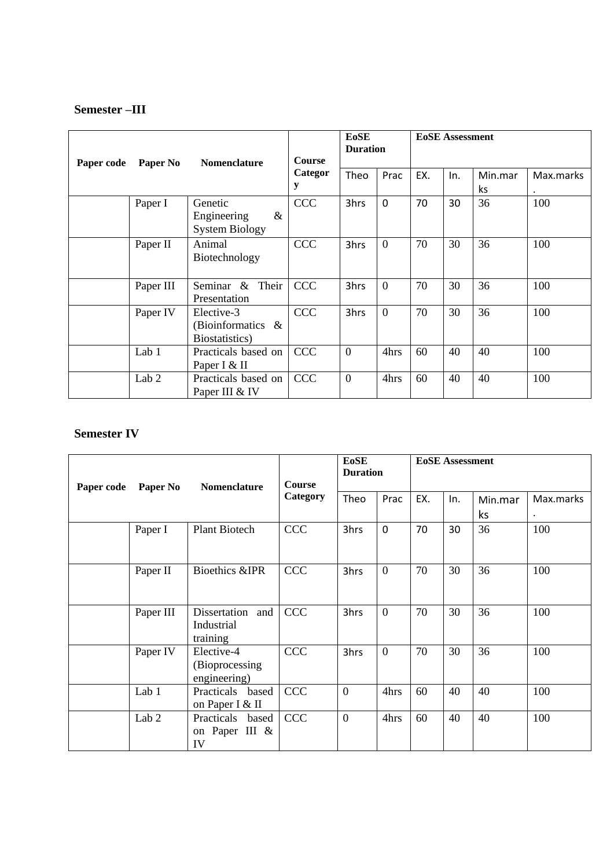# **Semester –III**

| Paper code | Paper No         | <b>Nomenclature</b>                                     | <b>EoSE</b><br><b>Duration</b><br><b>Course</b><br>Categor<br>EX.<br>Theo<br>Prac<br>y |                |                | <b>EoSE</b> Assessment |    |    |     |  |
|------------|------------------|---------------------------------------------------------|----------------------------------------------------------------------------------------|----------------|----------------|------------------------|----|----|-----|--|
|            |                  |                                                         |                                                                                        | In.            | Min.mar<br>ks  | Max.marks              |    |    |     |  |
|            | Paper I          | Genetic<br>$\&$<br>Engineering<br><b>System Biology</b> | <b>CCC</b>                                                                             | 3hrs           | $\mathbf 0$    | 70                     | 30 | 36 | 100 |  |
|            | Paper II         | Animal<br>Biotechnology                                 | <b>CCC</b>                                                                             | 3hrs           | $\Omega$       | 70                     | 30 | 36 | 100 |  |
|            | Paper III        | Seminar &<br>Their<br>Presentation                      | <b>CCC</b>                                                                             | 3hrs           | $\overline{0}$ | 70                     | 30 | 36 | 100 |  |
|            | Paper IV         | Elective-3<br>(Bioinformatics $\&$<br>Biostatistics)    | <b>CCC</b>                                                                             | 3hrs           | $\Omega$       | 70                     | 30 | 36 | 100 |  |
|            | Lab 1            | Practicals based on<br>Paper I & II                     | <b>CCC</b>                                                                             | $\overline{0}$ | 4hrs           | 60                     | 40 | 40 | 100 |  |
|            | Lab <sub>2</sub> | Practicals based on<br>Paper III & IV                   | <b>CCC</b>                                                                             | $\overline{0}$ | 4hrs           | 60                     | 40 | 40 | 100 |  |

# **Semester IV**

| Paper code | Paper No         | Nomenclature                                  | <b>Course</b><br>Category | <b>EoSE</b><br><b>Duration</b> |                | <b>EoSE</b> Assessment |     |               |           |  |
|------------|------------------|-----------------------------------------------|---------------------------|--------------------------------|----------------|------------------------|-----|---------------|-----------|--|
|            |                  |                                               |                           | Theo                           | Prac           | EX.                    | In. | Min.mar<br>ks | Max.marks |  |
|            | Paper I          | <b>Plant Biotech</b>                          | <b>CCC</b>                | 3hrs                           | $\mathbf 0$    | 70                     | 30  | 36            | 100       |  |
|            | Paper II         | <b>Bioethics &amp;IPR</b>                     | <b>CCC</b>                | 3hrs                           | $\overline{0}$ | 70                     | 30  | 36            | 100       |  |
|            | Paper III        | Dissertation<br>and<br>Industrial<br>training | <b>CCC</b>                | 3hrs                           | $\overline{0}$ | 70                     | 30  | 36            | 100       |  |
|            | Paper IV         | Elective-4<br>(Bioprocessing)<br>engineering) | <b>CCC</b>                | 3hrs                           | $\overline{0}$ | 70                     | 30  | 36            | 100       |  |
|            | Lab 1            | Practicals based<br>on Paper I & II           | <b>CCC</b>                | $\overline{0}$                 | 4hrs           | 60                     | 40  | 40            | 100       |  |
|            | Lab <sub>2</sub> | Practicals based<br>on Paper III &<br>IV      | <b>CCC</b>                | $\overline{0}$                 | 4hrs           | 60                     | 40  | 40            | 100       |  |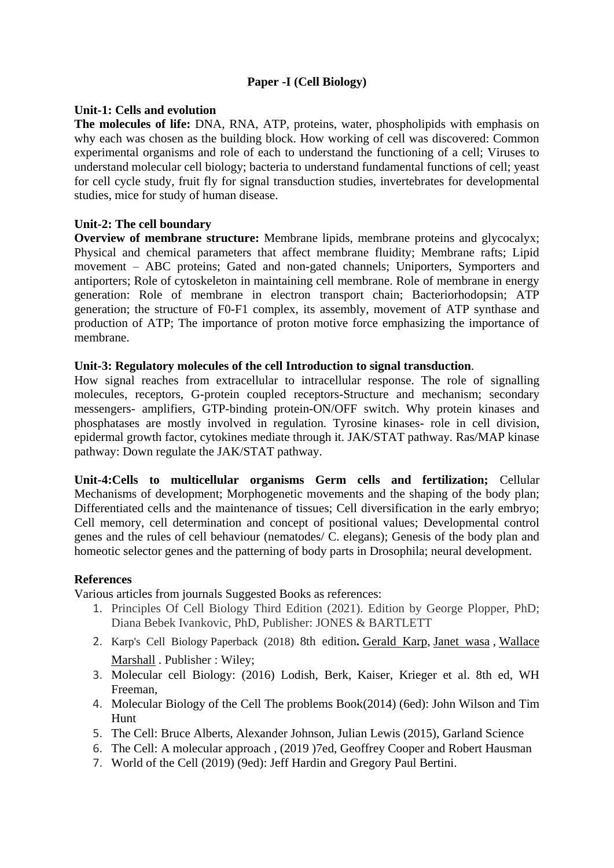## **Paper -I (Cell Biology)**

#### **Unit-1: Cells and evolution**

**The molecules of life:** DNA, RNA, ATP, proteins, water, phospholipids with emphasis on why each was chosen as the building block. How working of cell was discovered: Common experimental organisms and role of each to understand the functioning of a cell; Viruses to understand molecular cell biology; bacteria to understand fundamental functions of cell; yeast for cell cycle study, fruit fly for signal transduction studies, invertebrates for developmental studies, mice for study of human disease.

#### **Unit-2: The cell boundary**

**Overview of membrane structure:** Membrane lipids, membrane proteins and glycocalyx; Physical and chemical parameters that affect membrane fluidity; Membrane rafts; Lipid movement – ABC proteins; Gated and non-gated channels; Uniporters, Symporters and antiporters; Role of cytoskeleton in maintaining cell membrane. Role of membrane in energy generation: Role of membrane in electron transport chain; Bacteriorhodopsin; ATP generation; the structure of F0-F1 complex, its assembly, movement of ATP synthase and production of ATP; The importance of proton motive force emphasizing the importance of membrane.

#### **Unit-3: Regulatory molecules of the cell Introduction to signal transduction**.

How signal reaches from extracellular to intracellular response. The role of signalling molecules, receptors, G-protein coupled receptors-Structure and mechanism; secondary messengers- amplifiers, GTP-binding protein-ON/OFF switch. Why protein kinases and phosphatases are mostly involved in regulation. Tyrosine kinases- role in cell division, epidermal growth factor, cytokines mediate through it. JAK/STAT pathway. Ras/MAP kinase pathway: Down regulate the JAK/STAT pathway.

**Unit-4:Cells to multicellular organisms Germ cells and fertilization;** Cellular Mechanisms of development; Morphogenetic movements and the shaping of the body plan; Differentiated cells and the maintenance of tissues; Cell diversification in the early embryo; Cell memory, cell determination and concept of positional values; Developmental control genes and the rules of cell behaviour (nematodes/ C. elegans); Genesis of the body plan and homeotic selector genes and the patterning of body parts in Drosophila; neural development.

#### **References**

Various articles from journals Suggested Books as references:

- 1. Principles Of Cell Biology Third Edition (2021). Edition by George Plopper, PhD; Diana Bebek Ivankovic, PhD, Publisher: JONES & BARTLETT
- 2. Karp's Cell Biology Paperback (2018) 8th edition**.** [Gerald Karp,](https://www.amazon.in/Gerald-Karp/e/B001IR1IA0/ref=dp_byline_cont_book_1) [Janet wasa](https://www.amazon.in/s/ref=dp_byline_sr_book_2?ie=UTF8&field-author=Janet+Iwasa&search-alias=stripbooks) , [Wallace](https://www.amazon.in/s/ref=dp_byline_sr_book_3?ie=UTF8&field-author=Wallace+Marshall&search-alias=stripbooks)  [Marshall](https://www.amazon.in/s/ref=dp_byline_sr_book_3?ie=UTF8&field-author=Wallace+Marshall&search-alias=stripbooks) . Publisher : Wiley;
- 3. Molecular cell Biology: (2016) Lodish, Berk, Kaiser, Krieger et al. 8th ed, WH Freeman,
- 4. Molecular Biology of the Cell The problems Book(2014) (6ed): John Wilson and Tim Hunt
- 5. The Cell: Bruce Alberts, Alexander Johnson, Julian Lewis (2015), Garland Science
- 6. The Cell: A molecular approach , (2019 )7ed, Geoffrey Cooper and Robert Hausman
- 7. World of the Cell (2019) (9ed): Jeff Hardin and Gregory Paul Bertini.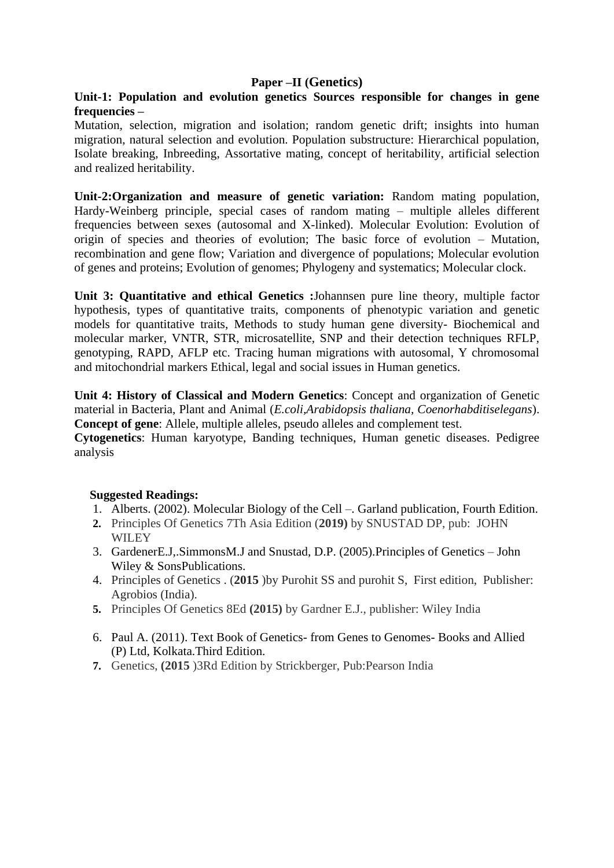#### **Paper –II (Genetics)**

#### **Unit-1: Population and evolution genetics Sources responsible for changes in gene frequencies –**

Mutation, selection, migration and isolation; random genetic drift; insights into human migration, natural selection and evolution. Population substructure: Hierarchical population, Isolate breaking, Inbreeding, Assortative mating, concept of heritability, artificial selection and realized heritability.

**Unit-2:Organization and measure of genetic variation:** Random mating population, Hardy-Weinberg principle, special cases of random mating – multiple alleles different frequencies between sexes (autosomal and X-linked). Molecular Evolution: Evolution of origin of species and theories of evolution; The basic force of evolution – Mutation, recombination and gene flow; Variation and divergence of populations; Molecular evolution of genes and proteins; Evolution of genomes; Phylogeny and systematics; Molecular clock.

**Unit 3: Quantitative and ethical Genetics :**Johannsen pure line theory, multiple factor hypothesis, types of quantitative traits, components of phenotypic variation and genetic models for quantitative traits, Methods to study human gene diversity- Biochemical and molecular marker, VNTR, STR, microsatellite, SNP and their detection techniques RFLP, genotyping, RAPD, AFLP etc. Tracing human migrations with autosomal, Y chromosomal and mitochondrial markers Ethical, legal and social issues in Human genetics.

**Unit 4: History of Classical and Modern Genetics**: Concept and organization of Genetic material in Bacteria, Plant and Animal (*E.coli,Arabidopsis thaliana, Coenorhabditiselegans*). **Concept of gene**: Allele, multiple alleles, pseudo alleles and complement test.

**Cytogenetics**: Human karyotype, Banding techniques, Human genetic diseases. Pedigree analysis

#### **Suggested Readings:**

- 1. Alberts. (2002). Molecular Biology of the Cell –. Garland publication, Fourth Edition.
- **2.** Principles Of Genetics 7Th Asia Edition (**2019)** by SNUSTAD DP, pub: JOHN **WILEY**
- 3. GardenerE.J,.SimmonsM.J and Snustad, D.P. (2005).Principles of Genetics John Wiley & SonsPublications.
- 4. Principles of Genetics . (**2015** )by Purohit SS and purohit S, First edition, Publisher: Agrobios (India).
- **5.** Principles Of Genetics 8Ed **(2015)** by Gardner E.J., publisher: Wiley India
- 6. Paul A. (2011). Text Book of Genetics- from Genes to Genomes- Books and Allied (P) Ltd, Kolkata.Third Edition.
- **7.** Genetics, **(2015** )3Rd Edition by Strickberger, Pub:Pearson India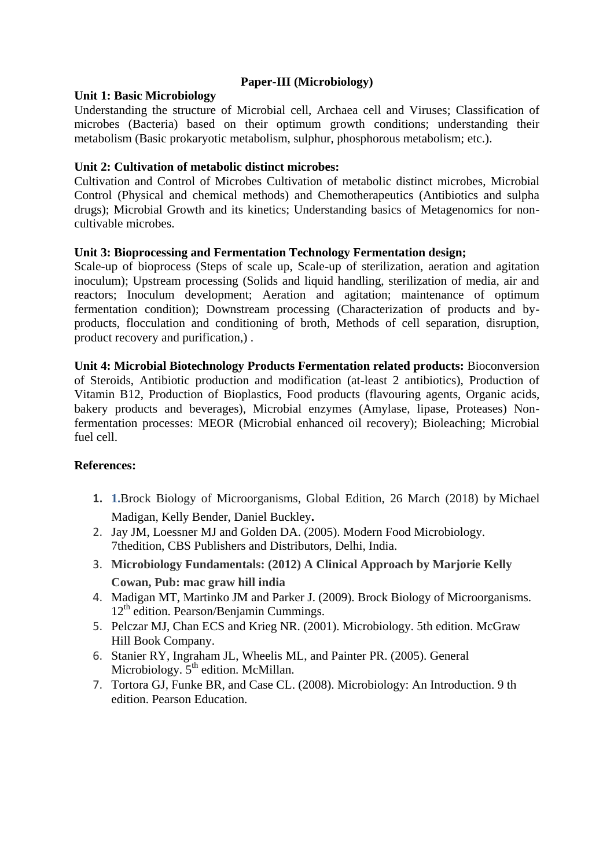#### **Paper-III (Microbiology)**

#### **Unit 1: Basic Microbiology**

Understanding the structure of Microbial cell, Archaea cell and Viruses; Classification of microbes (Bacteria) based on their optimum growth conditions; understanding their metabolism (Basic prokaryotic metabolism, sulphur, phosphorous metabolism; etc.).

#### **Unit 2: Cultivation of metabolic distinct microbes:**

Cultivation and Control of Microbes Cultivation of metabolic distinct microbes, Microbial Control (Physical and chemical methods) and Chemotherapeutics (Antibiotics and sulpha drugs); Microbial Growth and its kinetics; Understanding basics of Metagenomics for noncultivable microbes.

#### **Unit 3: Bioprocessing and Fermentation Technology Fermentation design;**

Scale-up of bioprocess (Steps of scale up, Scale-up of sterilization, aeration and agitation inoculum); Upstream processing (Solids and liquid handling, sterilization of media, air and reactors; Inoculum development; Aeration and agitation; maintenance of optimum fermentation condition); Downstream processing (Characterization of products and byproducts, flocculation and conditioning of broth, Methods of cell separation, disruption, product recovery and purification,) .

**Unit 4: Microbial Biotechnology Products Fermentation related products:** Bioconversion of Steroids, Antibiotic production and modification (at-least 2 antibiotics), Production of Vitamin B12, Production of Bioplastics, Food products (flavouring agents, Organic acids, bakery products and beverages), Microbial enzymes (Amylase, lipase, Proteases) Nonfermentation processes: MEOR (Microbial enhanced oil recovery); Bioleaching; Microbial fuel cell.

#### **References:**

- **1. 1.**Brock Biology of Microorganisms, Global Edition, 26 March (2018) by [Michael](https://www.amazon.in/s/ref=dp_byline_sr_book_1?ie=UTF8&field-author=Michael+Madigan&search-alias=stripbooks)  [Madigan,](https://www.amazon.in/s/ref=dp_byline_sr_book_1?ie=UTF8&field-author=Michael+Madigan&search-alias=stripbooks) [Kelly Bender,](https://www.amazon.in/s/ref=dp_byline_sr_book_2?ie=UTF8&field-author=Kelly+Bender&search-alias=stripbooks) [Daniel Buckley](https://www.amazon.in/s/ref=dp_byline_sr_book_3?ie=UTF8&field-author=Daniel+Buckley&search-alias=stripbooks)**.**
- 2. Jay JM, Loessner MJ and Golden DA. (2005). Modern Food Microbiology. 7thedition, CBS Publishers and Distributors, Delhi, India.
- 3. **Microbiology Fundamentals: (2012) A Clinical Approach by Marjorie Kelly Cowan, Pub: mac graw hill india**
- 4. Madigan MT, Martinko JM and Parker J. (2009). Brock Biology of Microorganisms. 12<sup>th</sup> edition. Pearson/Benjamin Cummings.
- 5. Pelczar MJ, Chan ECS and Krieg NR. (2001). Microbiology. 5th edition. McGraw Hill Book Company.
- 6. Stanier RY, Ingraham JL, Wheelis ML, and Painter PR. (2005). General Microbiology.  $5<sup>th</sup>$  edition. McMillan.
- 7. Tortora GJ, Funke BR, and Case CL. (2008). Microbiology: An Introduction. 9 th edition. Pearson Education.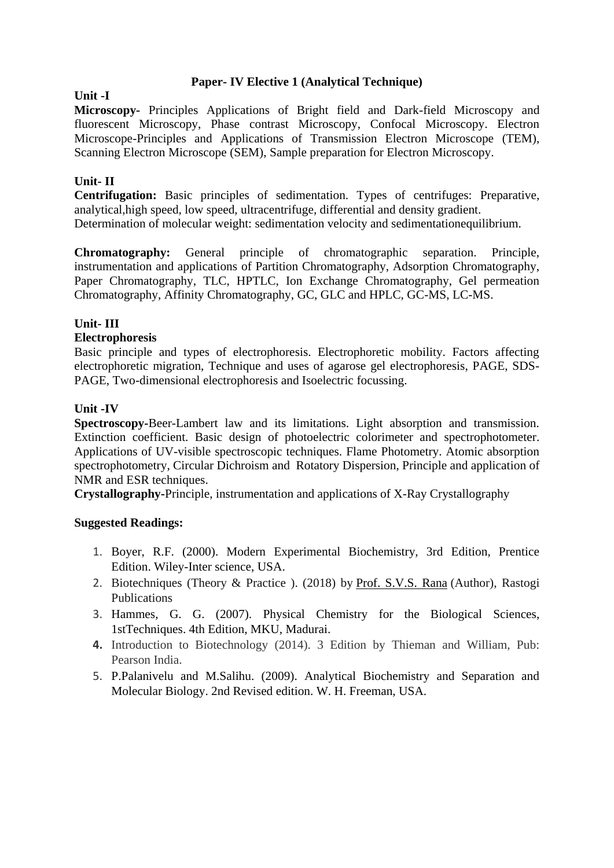#### **Paper- IV Elective 1 (Analytical Technique)**

#### **Unit -I**

**Microscopy-** Principles Applications of Bright field and Dark-field Microscopy and fluorescent Microscopy, Phase contrast Microscopy, Confocal Microscopy. Electron Microscope-Principles and Applications of Transmission Electron Microscope (TEM), Scanning Electron Microscope (SEM), Sample preparation for Electron Microscopy.

# **Unit- II**

**Centrifugation:** Basic principles of sedimentation. Types of centrifuges: Preparative, analytical,high speed, low speed, ultracentrifuge, differential and density gradient. Determination of molecular weight: sedimentation velocity and sedimentationequilibrium.

**Chromatography:** General principle of chromatographic separation. Principle, instrumentation and applications of Partition Chromatography, Adsorption Chromatography, Paper Chromatography, TLC, HPTLC, Ion Exchange Chromatography, Gel permeation Chromatography, Affinity Chromatography, GC, GLC and HPLC, GC-MS, LC-MS.

#### **Unit- III**

#### **Electrophoresis**

Basic principle and types of electrophoresis. Electrophoretic mobility. Factors affecting electrophoretic migration, Technique and uses of agarose gel electrophoresis, PAGE, SDS-PAGE, Two-dimensional electrophoresis and Isoelectric focussing.

#### **Unit -IV**

**Spectroscopy-**Beer-Lambert law and its limitations. Light absorption and transmission. Extinction coefficient. Basic design of photoelectric colorimeter and spectrophotometer. Applications of UV-visible spectroscopic techniques. Flame Photometry. Atomic absorption spectrophotometry, Circular Dichroism and Rotatory Dispersion, Principle and application of NMR and ESR techniques.

**Crystallography-**Principle, instrumentation and applications of X-Ray Crystallography

#### **Suggested Readings:**

- 1. Boyer, R.F. (2000). Modern Experimental Biochemistry, 3rd Edition, Prentice Edition. Wiley-Inter science, USA.
- 2. Biotechniques (Theory & Practice ). (2018) by [Prof. S.V.S. Rana](https://www.amazon.in/s/ref=dp_byline_sr_book_1?ie=UTF8&field-author=Prof.+S.V.S.+Rana&search-alias=stripbooks) (Author), Rastogi Publications
- 3. Hammes, G. G. (2007). Physical Chemistry for the Biological Sciences, 1stTechniques. 4th Edition, MKU, Madurai.
- **4.** Introduction to Biotechnology (2014). 3 Edition by Thieman and William, Pub: Pearson India.
- 5. P.Palanivelu and M.Salihu. (2009). Analytical Biochemistry and Separation and Molecular Biology. 2nd Revised edition. W. H. Freeman, USA.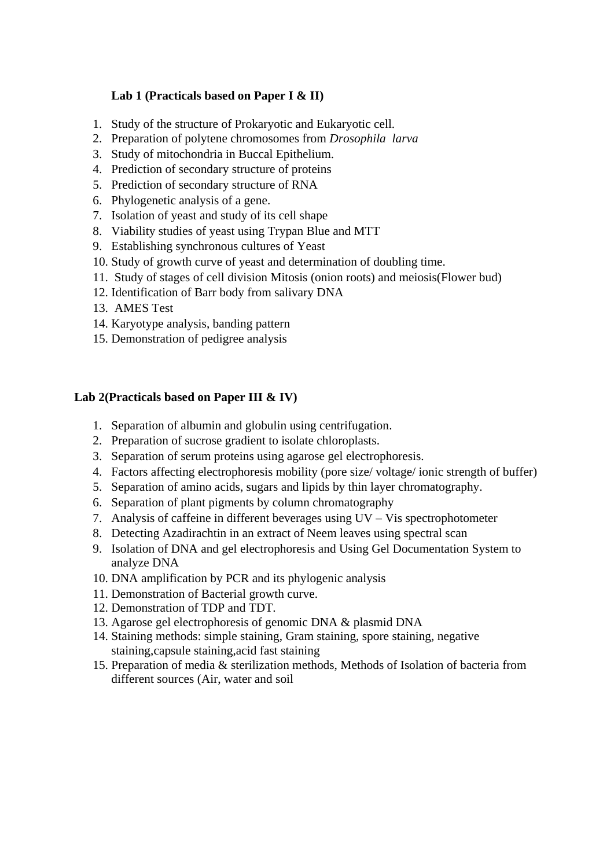#### **Lab 1 (Practicals based on Paper I & II)**

- 1. Study of the structure of Prokaryotic and Eukaryotic cell.
- 2. Preparation of polytene chromosomes from *Drosophila larva*
- 3. Study of mitochondria in Buccal Epithelium.
- 4. Prediction of secondary structure of proteins
- 5. Prediction of secondary structure of RNA
- 6. Phylogenetic analysis of a gene.
- 7. Isolation of yeast and study of its cell shape
- 8. Viability studies of yeast using Trypan Blue and MTT
- 9. Establishing synchronous cultures of Yeast
- 10. Study of growth curve of yeast and determination of doubling time.
- 11. Study of stages of cell division Mitosis (onion roots) and meiosis(Flower bud)
- 12. Identification of Barr body from salivary DNA
- 13. AMES Test
- 14. Karyotype analysis, banding pattern
- 15. Demonstration of pedigree analysis

#### **Lab 2(Practicals based on Paper III & IV)**

- 1. Separation of albumin and globulin using centrifugation.
- 2. Preparation of sucrose gradient to isolate chloroplasts.
- 3. Separation of serum proteins using agarose gel electrophoresis.
- 4. Factors affecting electrophoresis mobility (pore size/ voltage/ ionic strength of buffer)
- 5. Separation of amino acids, sugars and lipids by thin layer chromatography.
- 6. Separation of plant pigments by column chromatography
- 7. Analysis of caffeine in different beverages using UV Vis spectrophotometer
- 8. Detecting Azadirachtin in an extract of Neem leaves using spectral scan
- 9. Isolation of DNA and gel electrophoresis and Using Gel Documentation System to analyze DNA
- 10. DNA amplification by PCR and its phylogenic analysis
- 11. Demonstration of Bacterial growth curve.
- 12. Demonstration of TDP and TDT.
- 13. Agarose gel electrophoresis of genomic DNA & plasmid DNA
- 14. Staining methods: simple staining, Gram staining, spore staining, negative staining,capsule staining,acid fast staining
- 15. Preparation of media & sterilization methods, Methods of Isolation of bacteria from different sources (Air, water and soil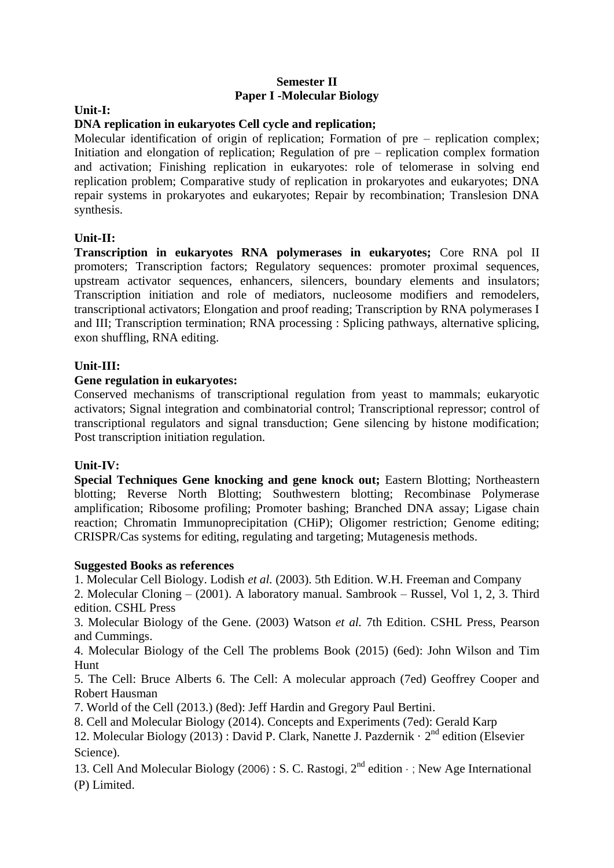#### **Semester II Paper I -Molecular Biology**

#### **Unit-I:**

#### **DNA replication in eukaryotes Cell cycle and replication;**

Molecular identification of origin of replication; Formation of pre – replication complex; Initiation and elongation of replication; Regulation of pre – replication complex formation and activation; Finishing replication in eukaryotes: role of telomerase in solving end replication problem; Comparative study of replication in prokaryotes and eukaryotes; DNA repair systems in prokaryotes and eukaryotes; Repair by recombination; Translesion DNA synthesis.

#### **Unit-II:**

**Transcription in eukaryotes RNA polymerases in eukaryotes;** Core RNA pol II promoters; Transcription factors; Regulatory sequences: promoter proximal sequences, upstream activator sequences, enhancers, silencers, boundary elements and insulators; Transcription initiation and role of mediators, nucleosome modifiers and remodelers, transcriptional activators; Elongation and proof reading; Transcription by RNA polymerases I and III; Transcription termination; RNA processing : Splicing pathways, alternative splicing, exon shuffling, RNA editing.

#### **Unit-III:**

#### **Gene regulation in eukaryotes:**

Conserved mechanisms of transcriptional regulation from yeast to mammals; eukaryotic activators; Signal integration and combinatorial control; Transcriptional repressor; control of transcriptional regulators and signal transduction; Gene silencing by histone modification; Post transcription initiation regulation.

#### **Unit-IV:**

**Special Techniques Gene knocking and gene knock out;** Eastern Blotting; Northeastern blotting; Reverse North Blotting; Southwestern blotting; Recombinase Polymerase amplification; Ribosome profiling; Promoter bashing; Branched DNA assay; Ligase chain reaction; Chromatin Immunoprecipitation (CHiP); Oligomer restriction; Genome editing; CRISPR/Cas systems for editing, regulating and targeting; Mutagenesis methods.

#### **Suggested Books as references**

1. Molecular Cell Biology. Lodish *et al.* (2003). 5th Edition. W.H. Freeman and Company

2. Molecular Cloning – (2001). A laboratory manual. Sambrook – Russel, Vol 1, 2, 3. Third edition. CSHL Press

3. Molecular Biology of the Gene. (2003) Watson *et al.* 7th Edition. CSHL Press, Pearson and Cummings.

4. Molecular Biology of the Cell The problems Book (2015) (6ed): John Wilson and Tim Hunt

5. The Cell: Bruce Alberts 6. The Cell: A molecular approach (7ed) Geoffrey Cooper and Robert Hausman

7. World of the Cell (2013.) (8ed): Jeff Hardin and Gregory Paul Bertini.

8. Cell and Molecular Biology (2014). Concepts and Experiments (7ed): Gerald Karp

12. Molecular Biology (2013) : [David P. Clark,](https://www.google.com/search?sa=N&biw=1600&bih=789&tbm=bks&sxsrf=ALeKk01LfknUoRp3UNFt75p1aWA8PWFjcQ:1619358394958&tbm=bks&q=inauthor:%22David+P.+Clark%22&ved=2ahUKEwimw5SPxJnwAhVBWysKHevACXIQ9AgwAXoECAIQBQ) [Nanette J. Pazdernik](https://www.google.com/search?sa=N&biw=1600&bih=789&tbm=bks&sxsrf=ALeKk01LfknUoRp3UNFt75p1aWA8PWFjcQ:1619358394958&tbm=bks&q=inauthor:%22Nanette+J.+Pazdernik%22&ved=2ahUKEwimw5SPxJnwAhVBWysKHevACXIQ9AgwAXoECAIQBg) · 2<sup>nd</sup> edition (Elsevier [Science\)](https://www.google.co.in/search?hl=en&gbpv=1&dq=molecular+biology&printsec=frontcover&q=inpublisher:%22Elsevier+Science%22&tbm=bks&sa=X&ved=2ahUKEwj-4afSxJnwAhVJyzgGHcBPDYEQmxMoADAIegQIHRAC).

13. Cell And Molecular Biology (2006) : [S. C. Rastogi](https://www.google.com/search?sa=N&biw=1600&bih=789&tbm=bks&sxsrf=ALeKk02-BON7-nn9VfTB2yIhafDsIyJyYQ:1619358518764&tbm=bks&q=inauthor:%22S.+C.+Rastogi%22&ved=2ahUKEwjqgZnKxJnwAhXHdCsKHdpvCfAQ9AgwB3oECAcQBQ),  $2<sup>nd</sup>$  edition  $\cdot$  ; New Age International [\(P\) Limited.](https://www.google.co.in/search?hl=en&gbpv=1&dq=molecular+biology&printsec=frontcover&q=inpublisher:%22New+Age+International+(P)+Limited%22&tbm=bks&sa=X&ved=2ahUKEwiOuIbRxZnwAhV173MBHdpKAr0QmxMoADAIegQIGBAC)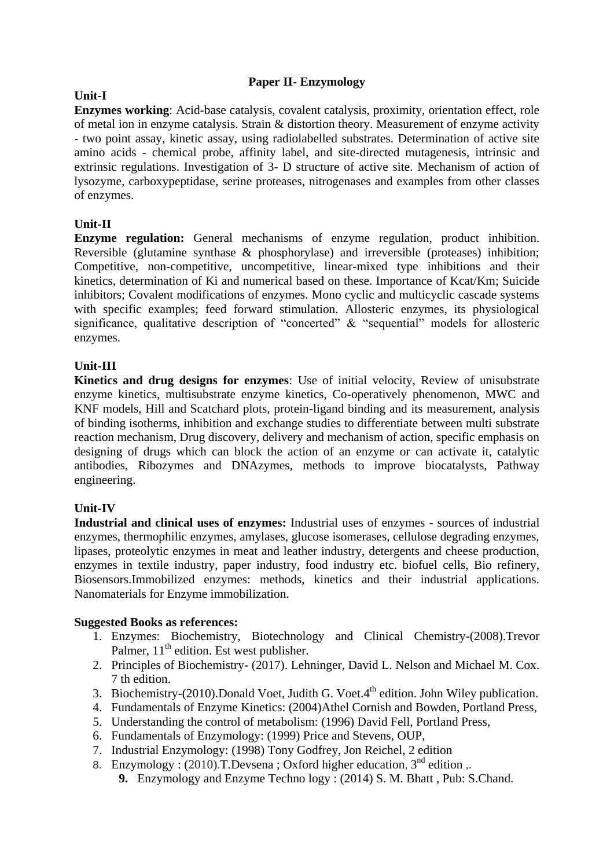# **Paper II- Enzymology**

#### **Unit-I**

**Enzymes working**: Acid-base catalysis, covalent catalysis, proximity, orientation effect, role of metal ion in enzyme catalysis. Strain & distortion theory. Measurement of enzyme activity - two point assay, kinetic assay, using radiolabelled substrates. Determination of active site amino acids - chemical probe, affinity label, and site-directed mutagenesis, intrinsic and extrinsic regulations. Investigation of 3- D structure of active site. Mechanism of action of lysozyme, carboxypeptidase, serine proteases, nitrogenases and examples from other classes of enzymes.

#### **Unit-II**

**Enzyme regulation:** General mechanisms of enzyme regulation, product inhibition. Reversible (glutamine synthase & phosphorylase) and irreversible (proteases) inhibition; Competitive, non-competitive, uncompetitive, linear-mixed type inhibitions and their kinetics, determination of Ki and numerical based on these. Importance of Kcat/Km; Suicide inhibitors; Covalent modifications of enzymes. Mono cyclic and multicyclic cascade systems with specific examples; feed forward stimulation. Allosteric enzymes, its physiological significance, qualitative description of "concerted" & "sequential" models for allosteric enzymes.

#### **Unit-III**

**Kinetics and drug designs for enzymes**: Use of initial velocity, Review of unisubstrate enzyme kinetics, multisubstrate enzyme kinetics, Co-operatively phenomenon, MWC and KNF models, Hill and Scatchard plots, protein-ligand binding and its measurement, analysis of binding isotherms, inhibition and exchange studies to differentiate between multi substrate reaction mechanism, Drug discovery, delivery and mechanism of action, specific emphasis on designing of drugs which can block the action of an enzyme or can activate it, catalytic antibodies, Ribozymes and DNAzymes, methods to improve biocatalysts, Pathway engineering.

#### **Unit-IV**

**Industrial and clinical uses of enzymes:** Industrial uses of enzymes - sources of industrial enzymes, thermophilic enzymes, amylases, glucose isomerases, cellulose degrading enzymes, lipases, proteolytic enzymes in meat and leather industry, detergents and cheese production, enzymes in textile industry, paper industry, food industry etc. biofuel cells, Bio refinery, Biosensors.Immobilized enzymes: methods, kinetics and their industrial applications. Nanomaterials for Enzyme immobilization.

- 1. Enzymes: Biochemistry, Biotechnology and Clinical Chemistry-(2008).Trevor Palmer,  $11<sup>th</sup>$  edition. Est west publisher.
- 2. Principles of Biochemistry- (2017). Lehninger, David L. Nelson and Michael M. Cox. 7 th edition.
- 3. Biochemistry-(2010). Donald Voet, Judith G. Voet. $4<sup>th</sup>$  edition. John Wiley publication.
- 4. Fundamentals of Enzyme Kinetics: (2004)Athel Cornish and Bowden, Portland Press,
- 5. Understanding the control of metabolism: (1996) David Fell, Portland Press,
- 6. Fundamentals of Enzymology: (1999) Price and Stevens, OUP,
- 7. Industrial Enzymology: (1998) Tony Godfrey, Jon Reichel, 2 edition
- 8. Enzymology : (2010).T.Devsena ; [Oxford higher education](https://www.google.co.in/search?tbo=p&tbm=bks&q=bibliogroup:%22Oxford+higher+education%22&source=gbs_metadata_r&cad=3), 3<sup>nd</sup> edition ,.
	- **9.** Enzymology and Enzyme Techno logy : (2014) [S. M. Bhatt](https://www.google.co.in/search?hl=en&sxsrf=ALeKk01ymEa9-XmBXrbJYFR4BJASuYSF6g:1619360031448&q=inauthor:%22S.+M.+Bhatt%22&tbm=bks) , Pub: S.Chand.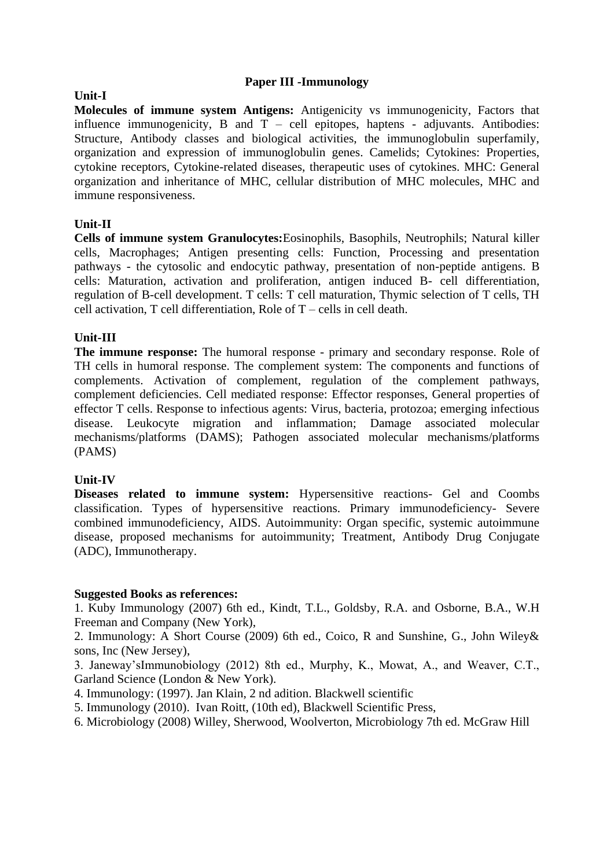#### **Paper III -Immunology**

# **Molecules of immune system Antigens:** Antigenicity vs immunogenicity, Factors that influence immunogenicity, B and  $T -$  cell epitopes, haptens - adjuvants. Antibodies:

Structure, Antibody classes and biological activities, the immunoglobulin superfamily, organization and expression of immunoglobulin genes. Camelids; Cytokines: Properties, cytokine receptors, Cytokine-related diseases, therapeutic uses of cytokines. MHC: General organization and inheritance of MHC, cellular distribution of MHC molecules, MHC and immune responsiveness.

# **Unit-II**

**Cells of immune system Granulocytes:**Eosinophils, Basophils, Neutrophils; Natural killer cells, Macrophages; Antigen presenting cells: Function, Processing and presentation pathways - the cytosolic and endocytic pathway, presentation of non-peptide antigens. B cells: Maturation, activation and proliferation, antigen induced B- cell differentiation, regulation of B-cell development. T cells: T cell maturation, Thymic selection of T cells, TH cell activation, T cell differentiation, Role of T – cells in cell death.

# **Unit-III**

**The immune response:** The humoral response - primary and secondary response. Role of TH cells in humoral response. The complement system: The components and functions of complements. Activation of complement, regulation of the complement pathways, complement deficiencies. Cell mediated response: Effector responses, General properties of effector T cells. Response to infectious agents: Virus, bacteria, protozoa; emerging infectious disease. Leukocyte migration and inflammation; Damage associated molecular mechanisms/platforms (DAMS); Pathogen associated molecular mechanisms/platforms (PAMS)

#### **Unit-IV**

**Diseases related to immune system:** Hypersensitive reactions- Gel and Coombs classification. Types of hypersensitive reactions. Primary immunodeficiency- Severe combined immunodeficiency, AIDS. Autoimmunity: Organ specific, systemic autoimmune disease, proposed mechanisms for autoimmunity; Treatment, Antibody Drug Conjugate (ADC), Immunotherapy.

#### **Suggested Books as references:**

1. Kuby Immunology (2007) 6th ed., Kindt, T.L., Goldsby, R.A. and Osborne, B.A., W.H Freeman and Company (New York),

2. Immunology: A Short Course (2009) 6th ed., Coico, R and Sunshine, G., John Wiley& sons, Inc (New Jersey),

3. Janeway'sImmunobiology (2012) 8th ed., Murphy, K., Mowat, A., and Weaver, C.T., Garland Science (London & New York).

- 4. Immunology: (1997). Jan Klain, 2 nd adition. Blackwell scientific
- 5. Immunology (2010). Ivan Roitt, (10th ed), Blackwell Scientific Press,

6. Microbiology (2008) Willey, Sherwood, Woolverton, Microbiology 7th ed. McGraw Hill

#### **Unit-I**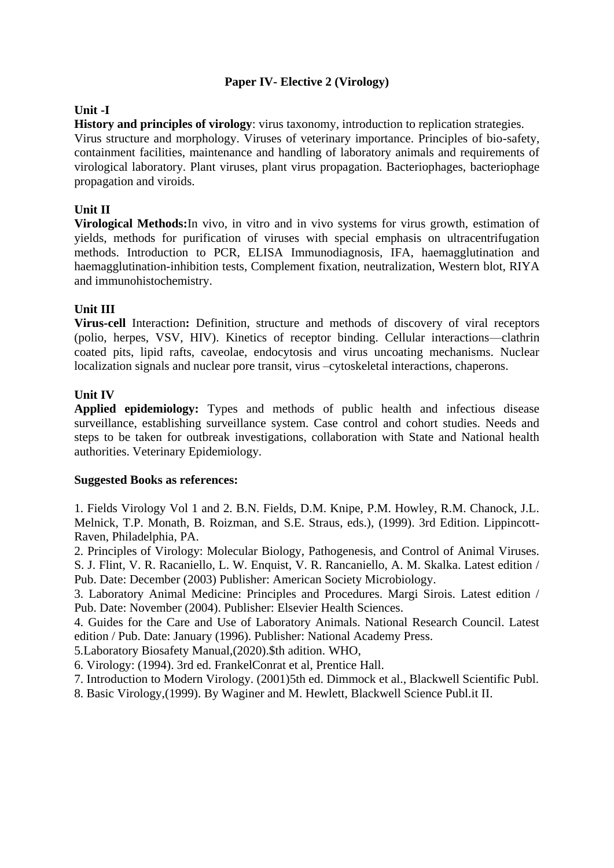#### **Paper IV- Elective 2 (Virology)**

#### **Unit -I**

**History and principles of virology**: virus taxonomy, introduction to replication strategies. Virus structure and morphology. Viruses of veterinary importance. Principles of bio-safety, containment facilities, maintenance and handling of laboratory animals and requirements of virological laboratory. Plant viruses, plant virus propagation. Bacteriophages, bacteriophage propagation and viroids.

#### **Unit II**

**Virological Methods:**In vivo, in vitro and in vivo systems for virus growth, estimation of yields, methods for purification of viruses with special emphasis on ultracentrifugation methods. Introduction to PCR, ELISA Immunodiagnosis, IFA, haemagglutination and haemagglutination-inhibition tests, Complement fixation, neutralization, Western blot, RIYA and immunohistochemistry.

#### **Unit III**

**Virus-cell** Interaction**:** Definition, structure and methods of discovery of viral receptors (polio, herpes, VSV, HIV). Kinetics of receptor binding. Cellular interactions—clathrin coated pits, lipid rafts, caveolae, endocytosis and virus uncoating mechanisms. Nuclear localization signals and nuclear pore transit, virus –cytoskeletal interactions, chaperons.

#### **Unit IV**

**Applied epidemiology:** Types and methods of public health and infectious disease surveillance, establishing surveillance system. Case control and cohort studies. Needs and steps to be taken for outbreak investigations, collaboration with State and National health authorities. Veterinary Epidemiology.

#### **Suggested Books as references:**

1. Fields Virology Vol 1 and 2. B.N. Fields, D.M. Knipe, P.M. Howley, R.M. Chanock, J.L. Melnick, T.P. Monath, B. Roizman, and S.E. Straus, eds.), (1999). 3rd Edition. Lippincott-Raven, Philadelphia, PA.

2. Principles of Virology: Molecular Biology, Pathogenesis, and Control of Animal Viruses. S. J. Flint, V. R. Racaniello, L. W. Enquist, V. R. Rancaniello, A. M. Skalka. Latest edition / Pub. Date: December (2003) Publisher: American Society Microbiology.

3. Laboratory Animal Medicine: Principles and Procedures. Margi Sirois. Latest edition / Pub. Date: November (2004). Publisher: Elsevier Health Sciences.

4. Guides for the Care and Use of Laboratory Animals. National Research Council. Latest edition / Pub. Date: January (1996). Publisher: National Academy Press.

5.Laboratory Biosafety Manual,(2020).\$th adition. WHO,

6. Virology: (1994). 3rd ed. FrankelConrat et al, Prentice Hall.

7. Introduction to Modern Virology. (2001)5th ed. Dimmock et al., Blackwell Scientific Publ.

8. Basic Virology,(1999). By Waginer and M. Hewlett, Blackwell Science Publ.it II.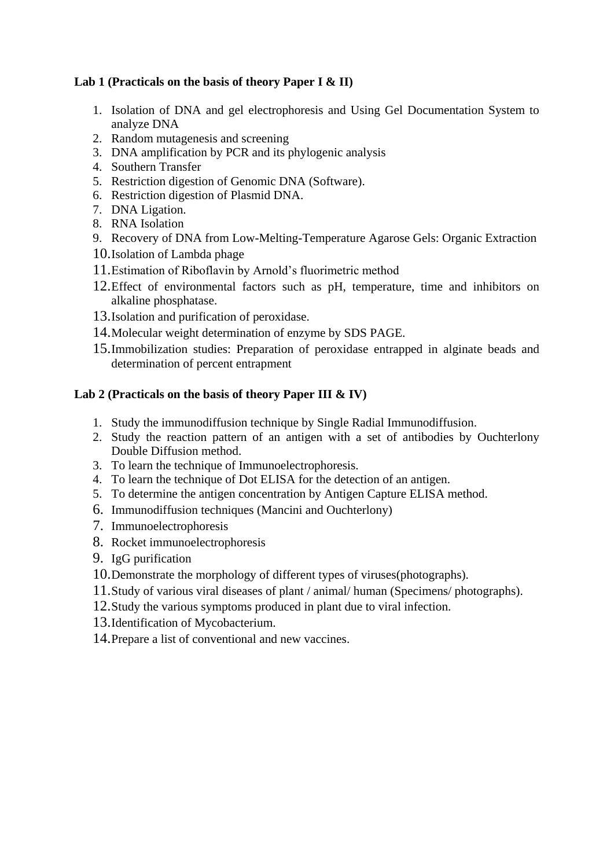### **Lab 1 (Practicals on the basis of theory Paper I & II)**

- 1. Isolation of DNA and gel electrophoresis and Using Gel Documentation System to analyze DNA
- 2. Random mutagenesis and screening
- 3. DNA amplification by PCR and its phylogenic analysis
- 4. Southern Transfer
- 5. Restriction digestion of Genomic DNA (Software).
- 6. Restriction digestion of Plasmid DNA.
- 7. DNA Ligation.
- 8. RNA Isolation
- 9. Recovery of DNA from Low-Melting-Temperature Agarose Gels: Organic Extraction
- 10.Isolation of Lambda phage
- 11.Estimation of Riboflavin by Arnold's fluorimetric method
- 12.Effect of environmental factors such as pH, temperature, time and inhibitors on alkaline phosphatase.
- 13.Isolation and purification of peroxidase.
- 14.Molecular weight determination of enzyme by SDS PAGE.
- 15.Immobilization studies: Preparation of peroxidase entrapped in alginate beads and determination of percent entrapment

# **Lab 2 (Practicals on the basis of theory Paper III & IV)**

- 1. Study the immunodiffusion technique by Single Radial Immunodiffusion.
- 2. Study the reaction pattern of an antigen with a set of antibodies by Ouchterlony Double Diffusion method.
- 3. To learn the technique of Immunoelectrophoresis.
- 4. To learn the technique of Dot ELISA for the detection of an antigen.
- 5. To determine the antigen concentration by Antigen Capture ELISA method.
- 6. Immunodiffusion techniques (Mancini and Ouchterlony)
- 7. Immunoelectrophoresis
- 8. Rocket immunoelectrophoresis
- 9. IgG purification
- 10.Demonstrate the morphology of different types of viruses(photographs).
- 11.Study of various viral diseases of plant / animal/ human (Specimens/ photographs).
- 12.Study the various symptoms produced in plant due to viral infection.
- 13.Identification of Mycobacterium.
- 14.Prepare a list of conventional and new vaccines.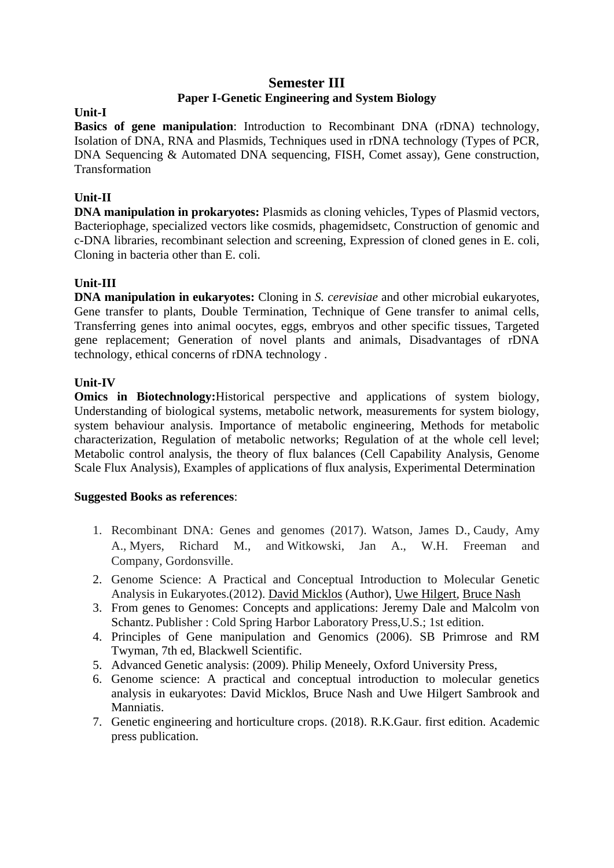#### **Semester III Paper I-Genetic Engineering and System Biology**

#### **Unit-I**

**Basics of gene manipulation**: Introduction to Recombinant DNA (rDNA) technology, Isolation of DNA, RNA and Plasmids, Techniques used in rDNA technology (Types of PCR, DNA Sequencing & Automated DNA sequencing, FISH, Comet assay), Gene construction, Transformation

# **Unit-II**

**DNA manipulation in prokaryotes:** Plasmids as cloning vehicles, Types of Plasmid vectors, Bacteriophage, specialized vectors like cosmids, phagemidsetc, Construction of genomic and c-DNA libraries, recombinant selection and screening, Expression of cloned genes in E. coli, Cloning in bacteria other than E. coli.

# **Unit-III**

**DNA manipulation in eukaryotes:** Cloning in *S. cerevisiae* and other microbial eukaryotes, Gene transfer to plants, Double Termination, Technique of Gene transfer to animal cells, Transferring genes into animal oocytes, eggs, embryos and other specific tissues, Targeted gene replacement; Generation of novel plants and animals, Disadvantages of rDNA technology, ethical concerns of rDNA technology .

#### **Unit-IV**

**Omics in Biotechnology:**Historical perspective and applications of system biology, Understanding of biological systems, metabolic network, measurements for system biology, system behaviour analysis. Importance of metabolic engineering, Methods for metabolic characterization, Regulation of metabolic networks; Regulation of at the whole cell level; Metabolic control analysis, the theory of flux balances (Cell Capability Analysis, Genome Scale Flux Analysis), Examples of applications of flux analysis, Experimental Determination

- 1. Recombinant DNA: Genes and genomes (2017). Watson, James D., Caudy, Amy A., Myers, Richard M., and Witkowski, Jan A., W.H. Freeman and Company, Gordonsville.
- 2. Genome Science: A Practical and Conceptual Introduction to Molecular Genetic Analysis in Eukaryotes.(2012). [David Micklos](https://www.amazon.in/s/ref=dp_byline_sr_book_1?ie=UTF8&field-author=David+Micklos&search-alias=stripbooks) (Author), [Uwe Hilgert,](https://www.amazon.in/s/ref=dp_byline_sr_book_2?ie=UTF8&field-author=Uwe+Hilgert&search-alias=stripbooks) [Bruce Nash](https://www.amazon.in/s/ref=dp_byline_sr_book_3?ie=UTF8&field-author=Bruce+Nash&search-alias=stripbooks)
- 3. From genes to Genomes: Concepts and applications: Jeremy Dale and Malcolm von Schantz. Publisher : Cold Spring Harbor Laboratory Press,U.S.; 1st edition.
- 4. Principles of Gene manipulation and Genomics (2006). SB Primrose and RM Twyman, 7th ed, Blackwell Scientific.
- 5. Advanced Genetic analysis: (2009). Philip Meneely, Oxford University Press,
- 6. Genome science: A practical and conceptual introduction to molecular genetics analysis in eukaryotes: David Micklos, Bruce Nash and Uwe Hilgert Sambrook and Manniatis.
- 7. Genetic engineering and horticulture crops. (2018). R.K.Gaur. first edition. Academic press publication.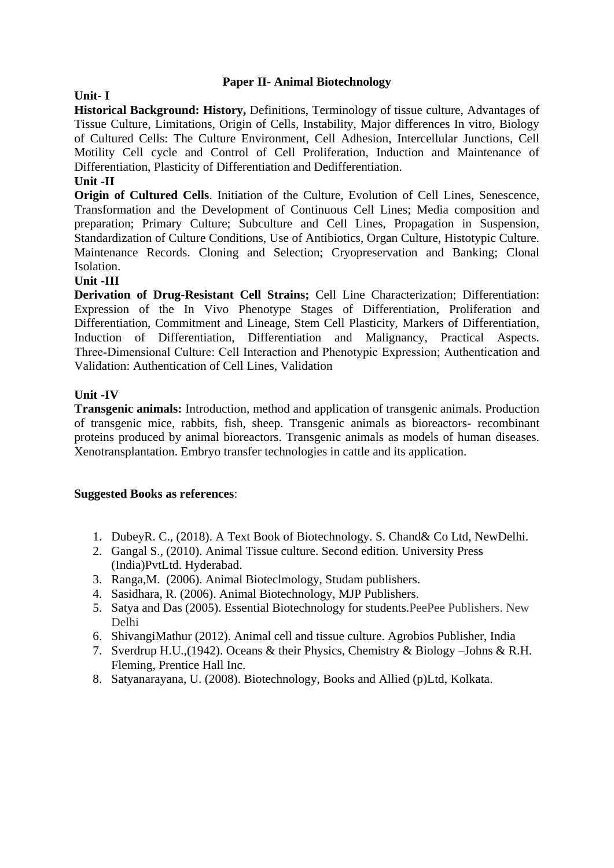#### **Paper II- Animal Biotechnology**

#### **Unit- I**

**Historical Background: History,** Definitions, Terminology of tissue culture, Advantages of Tissue Culture, Limitations, Origin of Cells, Instability, Major differences In vitro, Biology of Cultured Cells: The Culture Environment, Cell Adhesion, Intercellular Junctions, Cell Motility Cell cycle and Control of Cell Proliferation, Induction and Maintenance of Differentiation, Plasticity of Differentiation and Dedifferentiation.

#### **Unit -II**

**Origin of Cultured Cells**. Initiation of the Culture, Evolution of Cell Lines, Senescence, Transformation and the Development of Continuous Cell Lines; Media composition and preparation; Primary Culture; Subculture and Cell Lines, Propagation in Suspension, Standardization of Culture Conditions, Use of Antibiotics, Organ Culture, Histotypic Culture. Maintenance Records. Cloning and Selection; Cryopreservation and Banking; Clonal Isolation.

#### **Unit -III**

**Derivation of Drug-Resistant Cell Strains;** Cell Line Characterization; Differentiation: Expression of the In Vivo Phenotype Stages of Differentiation, Proliferation and Differentiation, Commitment and Lineage, Stem Cell Plasticity, Markers of Differentiation, Induction of Differentiation, Differentiation and Malignancy, Practical Aspects. Three‐Dimensional Culture: Cell Interaction and Phenotypic Expression; Authentication and Validation: Authentication of Cell Lines, Validation

#### **Unit -IV**

**Transgenic animals:** Introduction, method and application of transgenic animals. Production of transgenic mice, rabbits, fish, sheep. Transgenic animals as bioreactors- recombinant proteins produced by animal bioreactors. Transgenic animals as models of human diseases. Xenotransplantation. Embryo transfer technologies in cattle and its application.

- 1. DubeyR. C., (2018). A Text Book of Biotechnology. S. Chand& Co Ltd, NewDelhi.
- 2. Gangal S., (2010). Animal Tissue culture. Second edition. University Press (India)PvtLtd. Hyderabad.
- 3. Ranga,M. (2006). Animal Bioteclmology, Studam publishers.
- 4. Sasidhara, R. (2006). Animal Biotechnology, MJP Publishers.
- 5. Satya and Das (2005). Essential Biotechnology for students.PeePee Publishers. New Delhi
- 6. ShivangiMathur (2012). Animal cell and tissue culture. Agrobios Publisher, India
- 7. Sverdrup H.U.,(1942). Oceans & their Physics, Chemistry & Biology –Johns & R.H. Fleming, Prentice Hall Inc.
- 8. Satyanarayana, U. (2008). Biotechnology, Books and Allied (p)Ltd, Kolkata.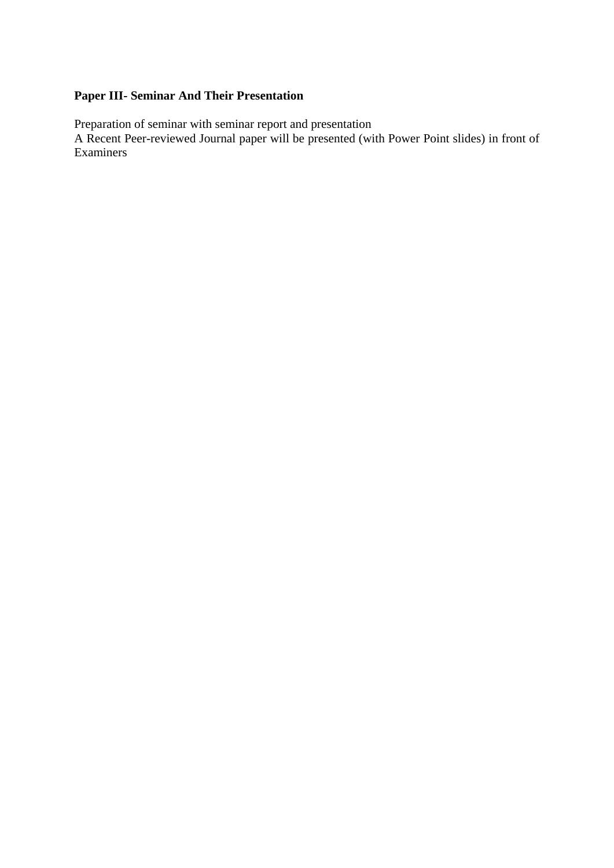# **Paper III- Seminar And Their Presentation**

Preparation of seminar with seminar report and presentation

A Recent Peer-reviewed Journal paper will be presented (with Power Point slides) in front of Examiners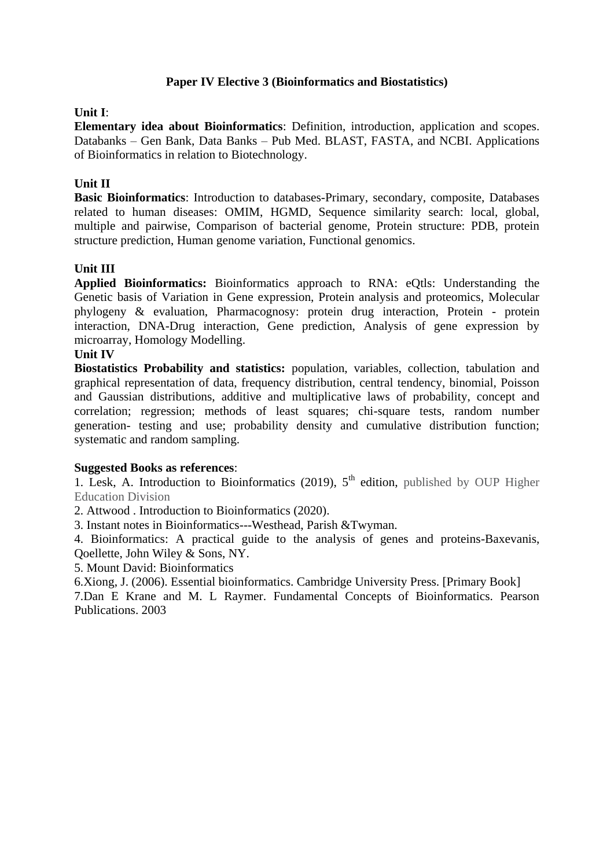### **Paper IV Elective 3 (Bioinformatics and Biostatistics)**

#### **Unit I**:

**Elementary idea about Bioinformatics**: Definition, introduction, application and scopes. Databanks – Gen Bank, Data Banks – Pub Med. BLAST, FASTA, and NCBI. Applications of Bioinformatics in relation to Biotechnology.

#### **Unit II**

**Basic Bioinformatics**: Introduction to databases-Primary, secondary, composite, Databases related to human diseases: OMIM, HGMD, Sequence similarity search: local, global, multiple and pairwise, Comparison of bacterial genome, Protein structure: PDB, protein structure prediction, Human genome variation, Functional genomics.

#### **Unit III**

**Applied Bioinformatics:** Bioinformatics approach to RNA: eQtls: Understanding the Genetic basis of Variation in Gene expression, Protein analysis and proteomics, Molecular phylogeny & evaluation, Pharmacognosy: protein drug interaction, Protein - protein interaction, DNA-Drug interaction, Gene prediction, Analysis of gene expression by microarray, Homology Modelling.

#### **Unit IV**

**Biostatistics Probability and statistics:** population, variables, collection, tabulation and graphical representation of data, frequency distribution, central tendency, binomial, Poisson and Gaussian distributions, additive and multiplicative laws of probability, concept and correlation; regression; methods of least squares; chi-square tests, random number generation- testing and use; probability density and cumulative distribution function; systematic and random sampling.

#### **Suggested Books as references**:

1. Lesk, A. Introduction to Bioinformatics (2019),  $5<sup>th</sup>$  edition, published by OUP Higher Education Division

2. Attwood . Introduction to Bioinformatics (2020).

3. Instant notes in Bioinformatics---Westhead, Parish &Twyman.

4. Bioinformatics: A practical guide to the analysis of genes and proteins-Baxevanis, Qoellette, John Wiley & Sons, NY.

5. Mount David: Bioinformatics

6.Xiong, J. (2006). Essential bioinformatics. Cambridge University Press. [Primary Book]

7.Dan E Krane and M. L Raymer. Fundamental Concepts of Bioinformatics. Pearson Publications. 2003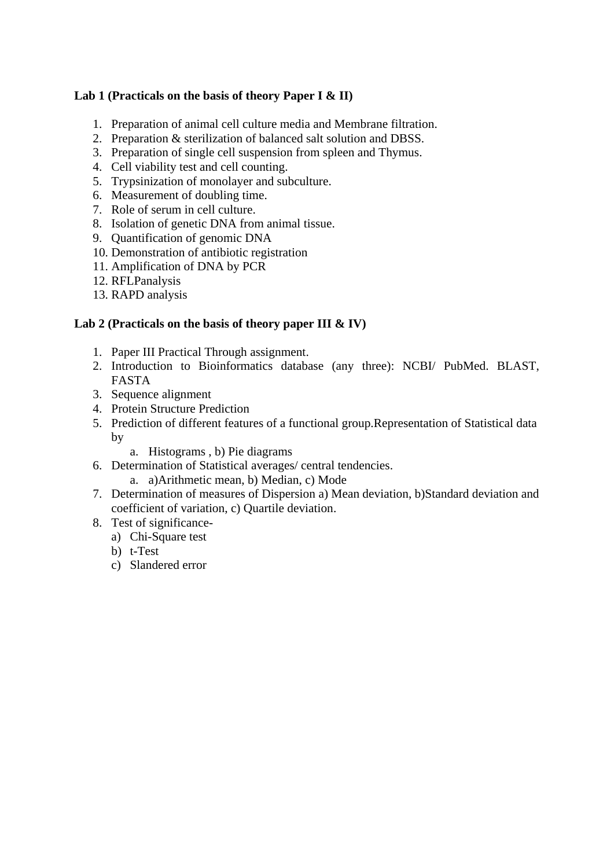### **Lab 1 (Practicals on the basis of theory Paper I & II)**

- 1. Preparation of animal cell culture media and Membrane filtration.
- 2. Preparation & sterilization of balanced salt solution and DBSS.
- 3. Preparation of single cell suspension from spleen and Thymus.
- 4. Cell viability test and cell counting.
- 5. Trypsinization of monolayer and subculture.
- 6. Measurement of doubling time.
- 7. Role of serum in cell culture.
- 8. Isolation of genetic DNA from animal tissue.
- 9. Quantification of genomic DNA
- 10. Demonstration of antibiotic registration
- 11. Amplification of DNA by PCR
- 12. RFLPanalysis
- 13. RAPD analysis

# **Lab 2 (Practicals on the basis of theory paper III & IV)**

- 1. Paper III Practical Through assignment.
- 2. Introduction to Bioinformatics database (any three): NCBI/ PubMed. BLAST, FASTA
- 3. Sequence alignment
- 4. Protein Structure Prediction
- 5. Prediction of different features of a functional group.Representation of Statistical data by
	- a. Histograms , b) Pie diagrams
- 6. Determination of Statistical averages/ central tendencies.
	- a. a)Arithmetic mean, b) Median, c) Mode
- 7. Determination of measures of Dispersion a) Mean deviation, b)Standard deviation and coefficient of variation, c) Quartile deviation.
- 8. Test of significance
	- a) Chi-Square test
	- b) t-Test
	- c) Slandered error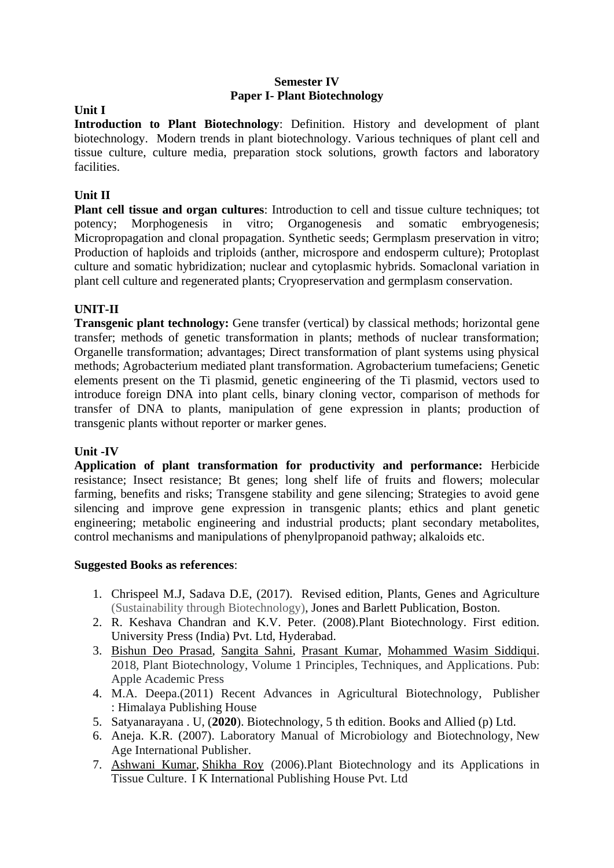#### **Semester IV Paper I- Plant Biotechnology**

## **Unit I**

**Introduction to Plant Biotechnology**: Definition. History and development of plant biotechnology. Modern trends in plant biotechnology. Various techniques of plant cell and tissue culture, culture media, preparation stock solutions, growth factors and laboratory facilities.

# **Unit II**

**Plant cell tissue and organ cultures**: Introduction to cell and tissue culture techniques; tot potency; Morphogenesis in vitro; Organogenesis and somatic embryogenesis; Micropropagation and clonal propagation. Synthetic seeds; Germplasm preservation in vitro; Production of haploids and triploids (anther, microspore and endosperm culture); Protoplast culture and somatic hybridization; nuclear and cytoplasmic hybrids. Somaclonal variation in plant cell culture and regenerated plants; Cryopreservation and germplasm conservation.

# **UNIT-II**

**Transgenic plant technology:** Gene transfer (vertical) by classical methods; horizontal gene transfer; methods of genetic transformation in plants; methods of nuclear transformation; Organelle transformation; advantages; Direct transformation of plant systems using physical methods; Agrobacterium mediated plant transformation. Agrobacterium tumefaciens; Genetic elements present on the Ti plasmid, genetic engineering of the Ti plasmid, vectors used to introduce foreign DNA into plant cells, binary cloning vector, comparison of methods for transfer of DNA to plants, manipulation of gene expression in plants; production of transgenic plants without reporter or marker genes.

#### **Unit -IV**

**Application of plant transformation for productivity and performance:** Herbicide resistance; Insect resistance; Bt genes; long shelf life of fruits and flowers; molecular farming, benefits and risks; Transgene stability and gene silencing; Strategies to avoid gene silencing and improve gene expression in transgenic plants; ethics and plant genetic engineering; metabolic engineering and industrial products; plant secondary metabolites, control mechanisms and manipulations of phenylpropanoid pathway; alkaloids etc.

- 1. Chrispeel M.J, Sadava D.E, (2017). Revised edition, Plants, Genes and Agriculture (Sustainability through Biotechnology), Jones and Barlett Publication, Boston.
- 2. R. Keshava Chandran and K.V. Peter. (2008).Plant Biotechnology. First edition. University Press (India) Pvt. Ltd, Hyderabad.
- 3. [Bishun Deo Prasad,](https://www.routledge.com/search?author=Bishun%20Deo%20Prasad) [Sangita Sahni,](https://www.routledge.com/search?author=Sangita%20Sahni) [Prasant Kumar,](https://www.routledge.com/search?author=Prasant%20Kumar) [Mohammed Wasim Siddiqui.](https://www.routledge.com/search?author=Mohammed%20Wasim%20Siddiqui) 2018*,* Plant Biotechnology, Volume 1 Principles, Techniques, and Applications. Pub: Apple Academic Press
- 4. M.A. Deepa.(2011) Recent Advances in Agricultural Biotechnology, Publisher : Himalaya Publishing House
- 5. Satyanarayana . U, (**2020**). Biotechnology, 5 th edition. Books and Allied (p) Ltd.
- 6. Aneja. K.R. (2007). Laboratory Manual of Microbiology and Biotechnology, New Age International Publisher.
- 7. [Ashwani Kumar,](https://www.amazon.in/s/ref=dp_byline_sr_book_1?ie=UTF8&field-author=Ashwani+Kumar&search-alias=stripbooks) [Shikha Roy](https://www.amazon.in/s/ref=dp_byline_sr_book_2?ie=UTF8&field-author=Shikha+Roy&search-alias=stripbooks) (2006).Plant Biotechnology and its Applications in Tissue Culture. I K International Publishing House Pvt. Ltd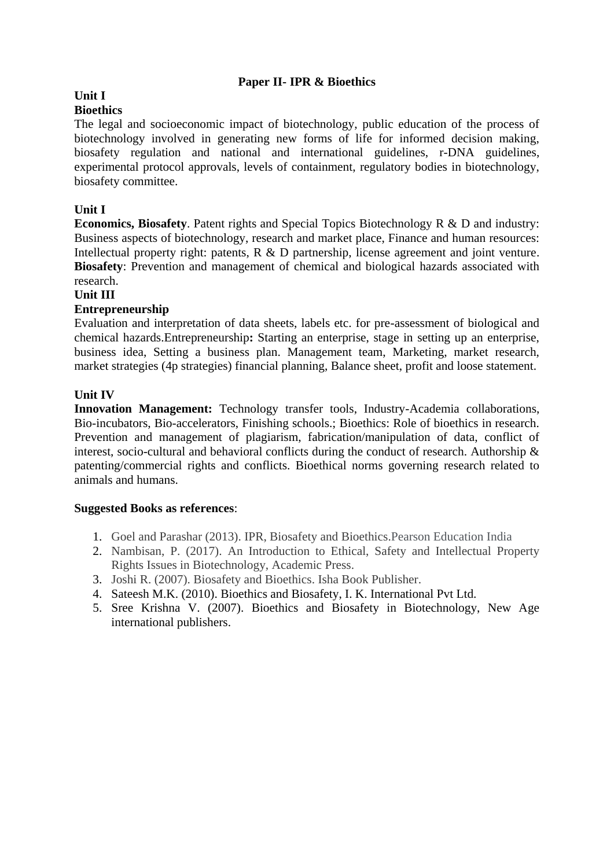#### **Paper II- IPR & Bioethics**

# **Unit I**

#### **Bioethics**

The legal and socioeconomic impact of biotechnology, public education of the process of biotechnology involved in generating new forms of life for informed decision making, biosafety regulation and national and international guidelines, r-DNA guidelines, experimental protocol approvals, levels of containment, regulatory bodies in biotechnology, biosafety committee.

#### **Unit I**

**Economics, Biosafety**. Patent rights and Special Topics Biotechnology R & D and industry: Business aspects of biotechnology, research and market place, Finance and human resources: Intellectual property right: patents, R & D partnership, license agreement and joint venture. **Biosafety**: Prevention and management of chemical and biological hazards associated with research.

#### **Unit III**

#### **Entrepreneurship**

Evaluation and interpretation of data sheets, labels etc. for pre-assessment of biological and chemical hazards.Entrepreneurship**:** Starting an enterprise, stage in setting up an enterprise, business idea, Setting a business plan. Management team, Marketing, market research, market strategies (4p strategies) financial planning, Balance sheet, profit and loose statement.

#### **Unit IV**

**Innovation Management:** Technology transfer tools, Industry-Academia collaborations, Bio-incubators, Bio-accelerators, Finishing schools.; Bioethics: Role of bioethics in research. Prevention and management of plagiarism, fabrication/manipulation of data, conflict of interest, socio-cultural and behavioral conflicts during the conduct of research. Authorship & patenting/commercial rights and conflicts. Bioethical norms governing research related to animals and humans.

- 1. Goel and Parashar (2013). IPR, Biosafety and Bioethics.Pearson Education India
- 2. Nambisan, P. (2017). An Introduction to Ethical, Safety and Intellectual Property Rights Issues in Biotechnology, Academic Press.
- 3. Joshi R. (2007). Biosafety and Bioethics. Isha Book Publisher.
- 4. Sateesh M.K. (2010). Bioethics and Biosafety, I. K. International Pvt Ltd.
- 5. Sree Krishna V. (2007). Bioethics and Biosafety in Biotechnology, New Age international publishers.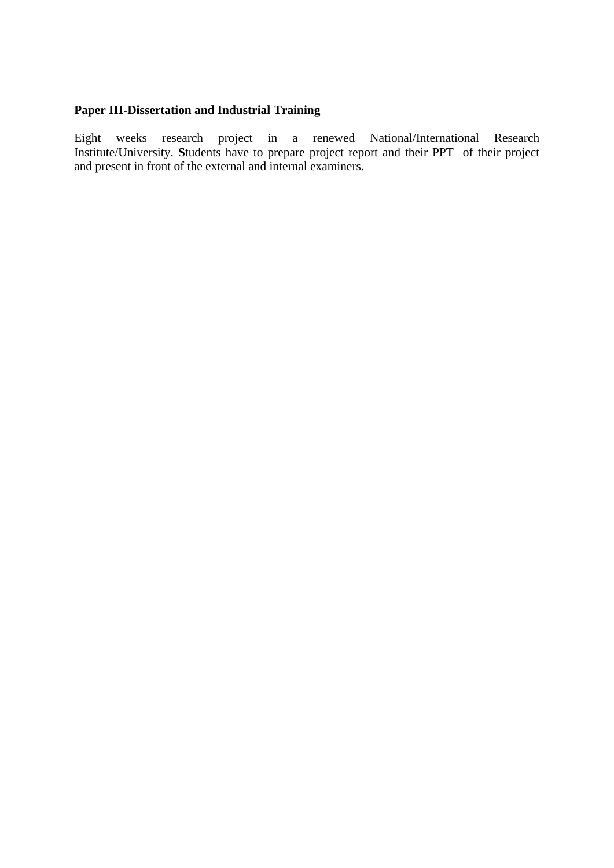# **Paper III-Dissertation and Industrial Training**

Eight weeks research project in a renewed National/International Research Institute/University. **S**tudents have to prepare project report and their PPT of their project and present in front of the external and internal examiners.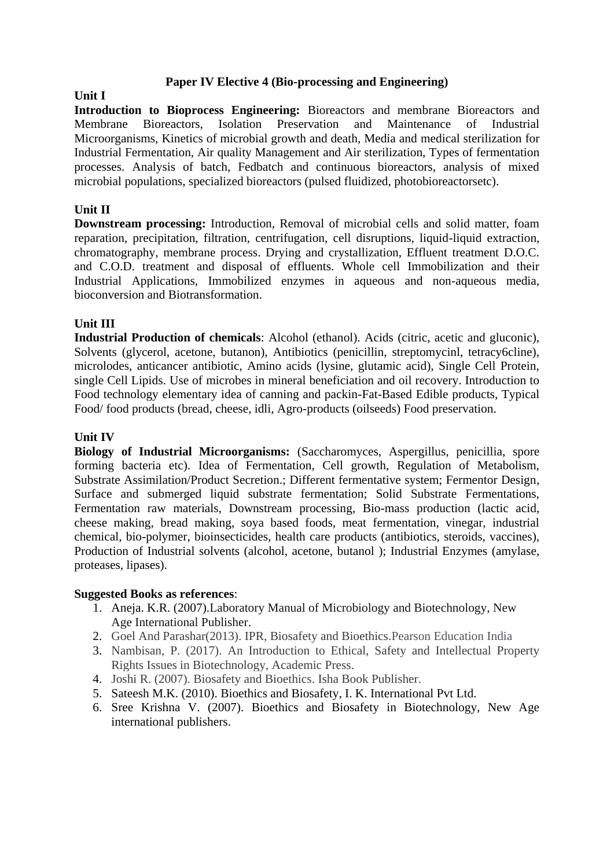#### **Paper IV Elective 4 (Bio-processing and Engineering)**

**Unit I Introduction to Bioprocess Engineering:** Bioreactors and membrane Bioreactors and Membrane Bioreactors, Isolation Preservation and Maintenance of Industrial Microorganisms, Kinetics of microbial growth and death, Media and medical sterilization for Industrial Fermentation, Air quality Management and Air sterilization, Types of fermentation processes. Analysis of batch, Fedbatch and continuous bioreactors, analysis of mixed microbial populations, specialized bioreactors (pulsed fluidized, photobioreactorsetc).

#### **Unit II**

**Downstream processing:** Introduction, Removal of microbial cells and solid matter, foam reparation, precipitation, filtration, centrifugation, cell disruptions, liquid-liquid extraction, chromatography, membrane process. Drying and crystallization, Effluent treatment D.O.C. and C.O.D. treatment and disposal of effluents. Whole cell Immobilization and their Industrial Applications, Immobilized enzymes in aqueous and non-aqueous media, bioconversion and Biotransformation.

#### **Unit III**

**Industrial Production of chemicals**: Alcohol (ethanol). Acids (citric, acetic and gluconic), Solvents (glycerol, acetone, butanon), Antibiotics (penicillin, streptomycinl, tetracy6cline), microlodes, anticancer antibiotic, Amino acids (lysine, glutamic acid), Single Cell Protein, single Cell Lipids. Use of microbes in mineral beneficiation and oil recovery. Introduction to Food technology elementary idea of canning and packin-Fat-Based Edible products, Typical Food/ food products (bread, cheese, idli, Agro-products (oilseeds) Food preservation.

#### **Unit IV**

**Biology of Industrial Microorganisms:** (Saccharomyces, Aspergillus, penicillia, spore forming bacteria etc). Idea of Fermentation, Cell growth, Regulation of Metabolism, Substrate Assimilation/Product Secretion.; Different fermentative system; Fermentor Design, Surface and submerged liquid substrate fermentation; Solid Substrate Fermentations, Fermentation raw materials, Downstream processing, Bio-mass production (lactic acid, cheese making, bread making, soya based foods, meat fermentation, vinegar, industrial chemical, bio-polymer, bioinsecticides, health care products (antibiotics, steroids, vaccines), Production of Industrial solvents (alcohol, acetone, butanol ); Industrial Enzymes (amylase, proteases, lipases).

- 1. Aneja. K.R. (2007).Laboratory Manual of Microbiology and Biotechnology, New Age International Publisher.
- 2. Goel And Parashar(2013). IPR, Biosafety and Bioethics.Pearson Education India
- 3. Nambisan, P. (2017). An Introduction to Ethical, Safety and Intellectual Property Rights Issues in Biotechnology, Academic Press.
- 4. Joshi R. (2007). Biosafety and Bioethics. Isha Book Publisher.
- 5. Sateesh M.K. (2010). Bioethics and Biosafety, I. K. International Pvt Ltd.
- 6. Sree Krishna V. (2007). Bioethics and Biosafety in Biotechnology, New Age international publishers.